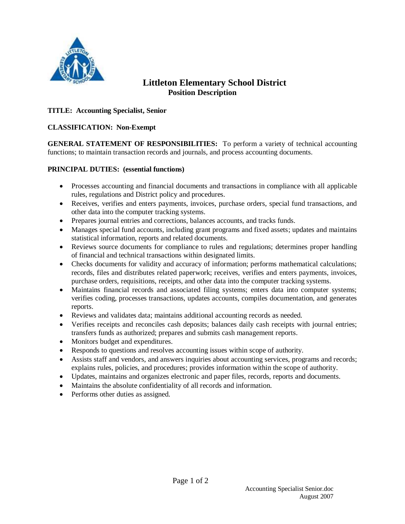

# **Littleton Elementary School District Position Description**

## **TITLE: Accounting Specialist, Senior**

## **CLASSIFICATION: Non-Exempt**

**GENERAL STATEMENT OF RESPONSIBILITIES:** To perform a variety of technical accounting functions; to maintain transaction records and journals, and process accounting documents.

#### **PRINCIPAL DUTIES: (essential functions)**

- Processes accounting and financial documents and transactions in compliance with all applicable rules, regulations and District policy and procedures.
- Receives, verifies and enters payments, invoices, purchase orders, special fund transactions, and other data into the computer tracking systems.
- Prepares journal entries and corrections, balances accounts, and tracks funds.
- Manages special fund accounts, including grant programs and fixed assets; updates and maintains statistical information, reports and related documents.
- Reviews source documents for compliance to rules and regulations; determines proper handling of financial and technical transactions within designated limits.
- Checks documents for validity and accuracy of information; performs mathematical calculations; records, files and distributes related paperwork; receives, verifies and enters payments, invoices, purchase orders, requisitions, receipts, and other data into the computer tracking systems.
- Maintains financial records and associated filing systems; enters data into computer systems; verifies coding, processes transactions, updates accounts, compiles documentation, and generates reports.
- Reviews and validates data; maintains additional accounting records as needed.
- Verifies receipts and reconciles cash deposits; balances daily cash receipts with journal entries; transfers funds as authorized; prepares and submits cash management reports.
- Monitors budget and expenditures.
- Responds to questions and resolves accounting issues within scope of authority.
- Assists staff and vendors, and answers inquiries about accounting services, programs and records; explains rules, policies, and procedures; provides information within the scope of authority.
- Updates, maintains and organizes electronic and paper files, records, reports and documents.
- Maintains the absolute confidentiality of all records and information.
- Performs other duties as assigned.